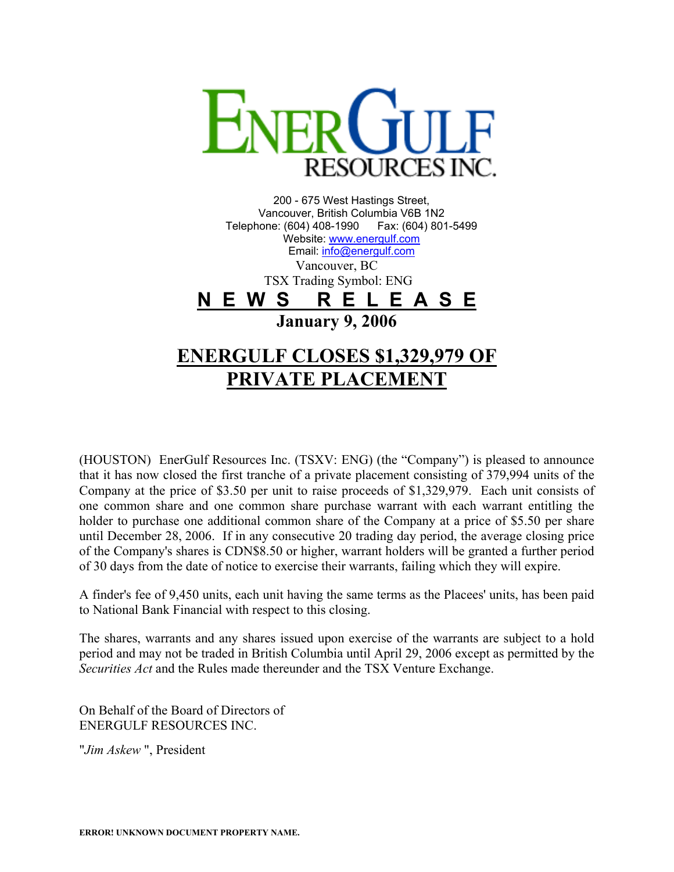

200 - 675 West Hastings Street, Vancouver, British Columbia V6B 1N2 Telephone: (604) 408-1990 Fax: (604) 801-5499 Website: [www.energulf.com](http://www.energulf.com/) Email: [info@energulf.com](mailto:info@energulf.com) Vancouver, BC TSX Trading Symbol: ENG **N E W S R E L E A S E January 9, 2006 ENERGULF CLOSES \$1,329,979 OF PRIVATE PLACEMENT**

(HOUSTON) EnerGulf Resources Inc. (TSXV: ENG) (the "Company") is pleased to announce that it has now closed the first tranche of a private placement consisting of 379,994 units of the Company at the price of \$3.50 per unit to raise proceeds of \$1,329,979. Each unit consists of one common share and one common share purchase warrant with each warrant entitling the holder to purchase one additional common share of the Company at a price of \$5.50 per share until December 28, 2006. If in any consecutive 20 trading day period, the average closing price of the Company's shares is CDN\$8.50 or higher, warrant holders will be granted a further period of 30 days from the date of notice to exercise their warrants, failing which they will expire.

A finder's fee of 9,450 units, each unit having the same terms as the Placees' units, has been paid to National Bank Financial with respect to this closing.

The shares, warrants and any shares issued upon exercise of the warrants are subject to a hold period and may not be traded in British Columbia until April 29, 2006 except as permitted by the *Securities Act* and the Rules made thereunder and the TSX Venture Exchange.

On Behalf of the Board of Directors of ENERGULF RESOURCES INC.

"*Jim Askew* ", President